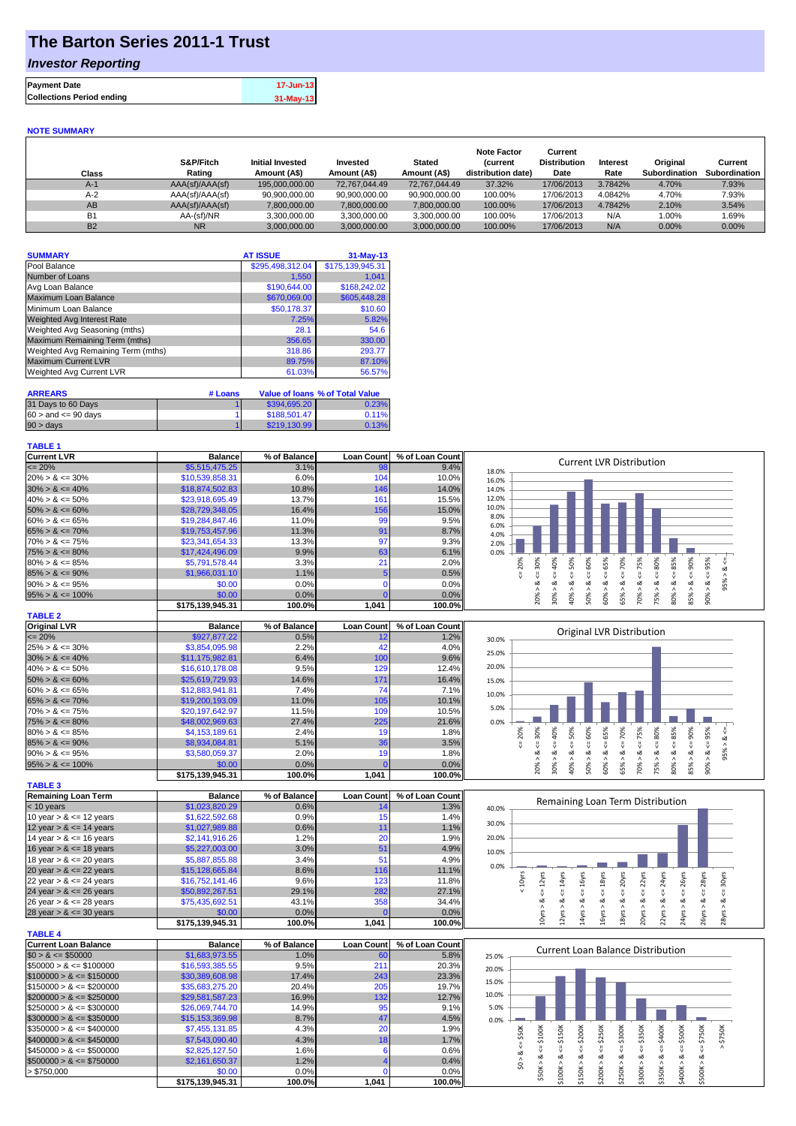# **The Barton Series 2011-1 Trust**

## *Investor Reporting*

| 17-Jun-13   | <b>Payment Date</b>              |
|-------------|----------------------------------|
| $31-May-13$ | <b>Collections Period ending</b> |
|             |                                  |

#### **NOTE SUMMARY**

| Class     | S&P/Fitch<br>Rating | <b>Initial Invested</b><br>Amount (A\$) | Invested<br>Amount (A\$) | <b>Stated</b><br>Amount (A\$) | <b>Note Factor</b><br><i>(current</i><br>distribution date) | Current<br><b>Distribution</b><br>Date | <b>Interest</b><br>Rate | Original<br><b>Subordination</b> | Current<br>Subordination |
|-----------|---------------------|-----------------------------------------|--------------------------|-------------------------------|-------------------------------------------------------------|----------------------------------------|-------------------------|----------------------------------|--------------------------|
| $A-1$     | AAA(sf)/AAA(sf)     | 195.000.000.00                          | 72.767.044.49            | 72.767.044.49                 | 37.32%                                                      | 17/06/2013                             | 3.7842%                 | 4.70%                            | 7.93%                    |
| $A-2$     | AAA(sf)/AAA(sf)     | 90,900,000.00                           | 90,900,000.00            | 90,900,000.00                 | 100.00%                                                     | 17/06/2013                             | 4.0842%                 | 4.70%                            | 7.93%                    |
| AB        | AAA(sf)/AAA(sf)     | 7,800,000.00                            | 7,800,000.00             | 7,800,000.00                  | 100.00%                                                     | 17/06/2013                             | 4.7842%                 | 2.10%                            | 3.54%                    |
| <b>B1</b> | AA-(sf)/NR          | 3.300.000.00                            | 3,300,000.00             | 3,300,000.00                  | 100.00%                                                     | 17/06/2013                             | N/A                     | 1.00%                            | .69%                     |
| <b>B2</b> | <b>NR</b>           | 3.000.000.00                            | 3.000.000.00             | 3,000,000.00                  | 100.00%                                                     | 17/06/2013                             | N/A                     | $0.00\%$                         | $0.00\%$                 |

| <b>SUMMARY</b>                     | <b>AT ISSUE</b>  | $31-May-13$      |
|------------------------------------|------------------|------------------|
| Pool Balance                       | \$295,498,312.04 | \$175,139,945.31 |
| Number of Loans                    | 1,550            | 1.041            |
| Avg Loan Balance                   | \$190.644.00     | \$168,242.02     |
| Maximum Loan Balance               | \$670,069.00     | \$605,448.28     |
| Minimum Loan Balance               | \$50,178.37      | \$10.60          |
| <b>Weighted Avg Interest Rate</b>  | 7.25%            | 5.82%            |
| Weighted Avg Seasoning (mths)      | 28.1             | 54.6             |
| Maximum Remaining Term (mths)      | 356.65           | 330.00           |
| Weighted Avg Remaining Term (mths) | 318.86           | 293.77           |
| <b>Maximum Current LVR</b>         | 89.75%           | 87.10%           |
| <b>Weighted Avg Current LVR</b>    | 61.03%           | 56.57%           |

| <b>ARREARS</b>            | # Loans |              | Value of Ioans % of Total Value |
|---------------------------|---------|--------------|---------------------------------|
| 31 Days to 60 Days        |         | \$394,695,20 | 0.23%                           |
| $60 >$ and $\leq 90$ days |         | \$188,501.47 | 0.11%                           |
| $90 > \text{days}$        |         | \$219.130.99 | 0.13%                           |

### **TABLE 1**

| <b>Current LVR</b>   | <b>Balance</b>   | % of Balance | <b>Loan Count I</b> | % of Loan Count | <b>Current LVR Distribution</b>                                                      |
|----------------------|------------------|--------------|---------------------|-----------------|--------------------------------------------------------------------------------------|
| $\leq$ 20%           | \$5,515,475.25   | 3.1%         | 98                  | 9.4%            | 18.0%                                                                                |
| $20\% > 8 \le 30\%$  | \$10,539,858.31  | 6.0%         | 104                 | 10.0%           | 16.0%                                                                                |
| $30\% > 8 \le 40\%$  | \$18,874,502.83  | 10.8%        | 146                 | 14.0%           | 14.0%                                                                                |
| $40\% > 8 \le 50\%$  | \$23,918,695.49  | 13.7%        | 161                 | 15.5%           | 12.0%                                                                                |
| $50\% > 8 \le 60\%$  | \$28,729,348.05  | 16.4%        | 156                 | 15.0%           | 10.0%                                                                                |
| $60\% > 8 \le 65\%$  | \$19,284,847.46  | 11.0%        | 99                  | 9.5%            | 8.0%<br>6.0%                                                                         |
| $65\% > 8 \le 70\%$  | \$19,753,457.96  | 11.3%        | 91                  | 8.7%            | 4.0%                                                                                 |
| $70\% > 8 \le 75\%$  | \$23,341,654.33  | 13.3%        | 97                  | 9.3%            | 2.0%                                                                                 |
| $75\% > 8 \le 80\%$  | \$17,424,496.09  | 9.9%         | 63                  | 6.1%            | 0.0%                                                                                 |
| $80\% > 8 \le 85\%$  | \$5,791,578.44   | 3.3%         | 21                  | 2.0%            | ≫<br>20%<br>Š.<br>Š<br>io.<br>ō<br>ūn.<br>ū٦<br>ន្ល<br>2<br>ന                        |
| $85\% > 8 \le 90\%$  | \$1,966,031.10   | 1.1%         |                     | 0.5%            |                                                                                      |
| $90\% > 8 \le 95\%$  | \$0.00           | 0.0%         |                     | 0.0%            | 5%<br>œ<br>ಂಶ<br>œ<br>οŏ<br>$\sigma$                                                 |
| $95\% > 8 \le 100\%$ | \$0.00           | 0.0%         |                     | 0.0%            | 90%<br>60%<br>20%<br>65%<br>š®<br>$^{40\%}$<br>ర్గ్<br><u>ကိ</u><br>స్లే<br>ŝ.<br>ĩń |
|                      | \$175,139,945.31 | 100.0%       | 1,041               | 100.0%          | $\infty$                                                                             |
| <b>TABLE 2</b>       |                  |              |                     |                 |                                                                                      |
| <b>Original LVR</b>  | <b>Balance</b>   | % of Balance | <b>Loan Count</b>   | % of Loan Count | Original LVR Distribution                                                            |
| $\leq$ 20%           | \$927,877.22     | 0.5%         |                     | 1.2%            | 30.0%                                                                                |

|                      | <b>CATE 400 045 04</b> | 400.001 | 1.011 | 10000 |       |   |  |   |   |    |  |  |
|----------------------|------------------------|---------|-------|-------|-------|---|--|---|---|----|--|--|
| $95\% > 8 \le 100\%$ | \$0.00                 | 0.0%    |       | 0.0%  |       |   |  |   |   |    |  |  |
| $90\% > 8 \le 95\%$  | \$3,580,059.37         | 2.0%    |       | 1.8%  |       |   |  | ∝ |   |    |  |  |
| $85\% > 8 \le 90\%$  | \$8,934,084.81         | 5.1%    | 36    | 3.5%  |       |   |  |   |   |    |  |  |
| $80\% > 8 \le 85\%$  | \$4,153,189.61         | 2.4%    | 19    | 1.8%  |       | g |  | Ò | ō | 20 |  |  |
| $75\% > 8 \le 80\%$  | \$48,002,969.63        | 27.4%   | 225   | 21.6% | 0.0%  |   |  |   |   |    |  |  |
| $70\% > 8 \le 75\%$  | \$20,197,642.97        | 11.5%   | 109   | 10.5% | 5.0%  |   |  |   |   |    |  |  |
| $65\% > 8 \le 70\%$  | \$19,200,193.09        | 11.0%   | 105   | 10.1% |       |   |  |   |   |    |  |  |
| $60\% > 8 \le 65\%$  | \$12,883,941.81        | 7.4%    | 74    | 7.1%  | 10.0% |   |  |   |   |    |  |  |
| $50\% > 8 \le 60\%$  | \$25,619,729.93        | 14.6%   | 171   | 16.4% | 15.0% |   |  |   |   |    |  |  |
| $40\% > 8 \le 50\%$  | \$16,610,178.08        | 9.5%    | 129   | 12.4% | 20.0% |   |  |   |   |    |  |  |
| $30\% > 8 \le 40\%$  | \$11,175,982.81        | 6.4%    | 100   | 9.6%  |       |   |  |   |   |    |  |  |
| $25\% > 8 \le 30\%$  | \$3,854,095.98         | 2.2%    |       | 4.0%  | 25.0% |   |  |   |   |    |  |  |
|                      |                        |         |       |       |       |   |  |   |   |    |  |  |

| $95\% > 8 \le 100\%$       | \$0.00           | 0.0%         |                   | 0.0%            |
|----------------------------|------------------|--------------|-------------------|-----------------|
|                            | \$175,139,945.31 | 100.0%       | 1,041             | 100.0%          |
| <b>TABLE 3</b>             |                  |              |                   |                 |
| <b>Remaining Loan Term</b> | <b>Balance</b>   | % of Balance | <b>Loan Count</b> | % of Loan Count |
| $<$ 10 years               | \$1,023,820.29   | 0.6%         | 14                | 1.3%            |
| 10 year $> 8 \le 12$ years | \$1,622,592.68   | 0.9%         | 15                | 1.4%            |
| 12 year $> 8 \le 14$ years | \$1,027,989.88   | 0.6%         | 11                | 1.1%            |
| 14 year $> 8 \le 16$ years | \$2,141,916.26   | 1.2%         | 20                | 1.9%            |
| 16 year $> 8 \le 18$ years | \$5,227,003,00   | 3.0%         | 51                | 4.9%            |
| 18 year $> 8 \le 20$ years | \$5,887,855.88   | 3.4%         | 51                | 4.9%            |
| 20 year $> 8 \le 22$ years | \$15,128,665.84  | 8.6%         | 116               | 11.1%           |
| 22 year $> 8 \le 24$ years | \$16,752,141.46  | 9.6%         | 123               | 11.8%           |
| 24 year $> 8 \le 26$ years | \$50,892,267.51  | 29.1%        | 282               | 27.1%           |
| 26 year $> 8 \le 28$ years | \$75,435,692.51  | 43.1%        | 358               | 34.4%           |
| 28 year $> 8 \le 30$ years | \$0.00           | 0.0%         |                   | 0.0%            |
|                            | \$175.139.945.31 | 100.0%       | 1.041             | 100.0%          |

|                              | 3113,139,943.31  | <b>IUU.U70</b> | 1.V4 I            | 100.0761        |
|------------------------------|------------------|----------------|-------------------|-----------------|
| <b>TABLE 4</b>               |                  |                |                   |                 |
| Current Loan Balance         | <b>Balance</b>   | % of Balance   | <b>Loan Count</b> | % of Loan Count |
| $$0 > 8 \leq $50000$         | \$1,683,973.55   | 1.0%           | 60                | 5.8%            |
| $\$50000 > 8 \leq \$100000$  | \$16,593,385.55  | 9.5%           | 211               | 20.3%           |
| $$100000 > 8 \leq $150000$   | \$30,389,608.98  | 17.4%          | 243               | 23.3%           |
| $$150000 > 8 \leq $200000$   | \$35,683,275.20  | 20.4%          | 205               | 19.7%           |
| $$200000 > 8 \leq $250000$   | \$29,581,587.23  | 16.9%          | 132               | 12.7%           |
| $$250000 > 8 \leq $300000$   | \$26,069,744.70  | 14.9%          | 95                | 9.1%            |
| $$300000 > 8 \leq $350000$   | \$15.153.369.98  | 8.7%           | 47                | 4.5%            |
| $\$350000 > 8 \leq \$400000$ | \$7,455,131.85   | 4.3%           | 20                | 1.9%            |
| $$400000 > 8 \leq $450000$   | \$7,543,090.40   | 4.3%           | 18                | 1.7%            |
| $$450000 > 8 \leq $500000$   | \$2,825,127.50   | 1.6%           | 6                 | 0.6%            |
| $$500000 > 8 \leq $750000$   | \$2.161.650.37   | 1.2%           |                   | 0.4%            |
| > \$750.000                  | \$0.00           | 0.0%           |                   | 0.0%            |
|                              | \$175.139.945.31 | 100.0%         | 1.041             | 100.0%          |